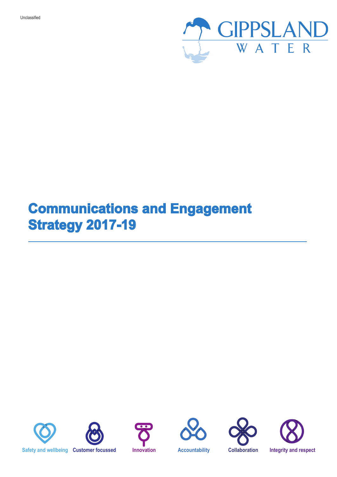

## **Communications and Engagement Strategy 2017-19**







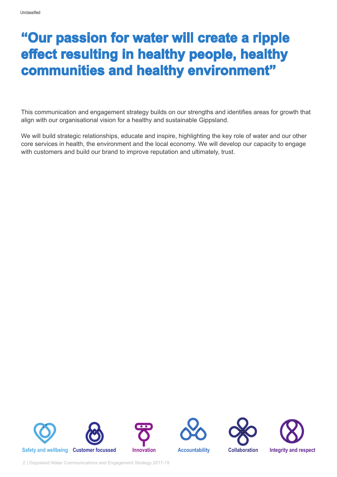### **"Our passion for water will create a ripple effect resulting in healthy people, healthy communities and healthy environment"**

This communication and engagement strategy builds on our strengths and identifies areas for growth that align with our organisational vision for a healthy and sustainable Gippsland.

We will build strategic relationships, educate and inspire, highlighting the key role of water and our other core services in health, the environment and the local economy. We will develop our capacity to engage with customers and build our brand to improve reputation and ultimately, trust.







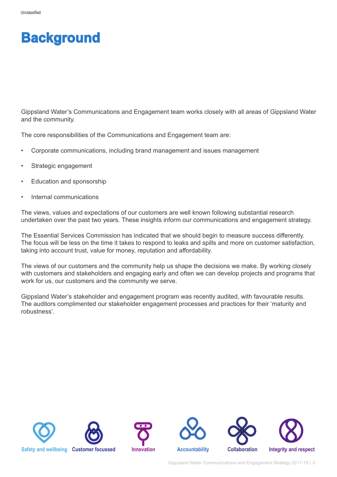### **Background**

Gippsland Water's Communications and Engagement team works closely with all areas of Gippsland Water and the community.

The core responsibilities of the Communications and Engagement team are:

- Corporate communications, including brand management and issues management
- Strategic engagement
- Education and sponsorship
- Internal communications

The views, values and expectations of our customers are well known following substantial research undertaken over the past two years. These insights inform our communications and engagement strategy.

The Essential Services Commission has indicated that we should begin to measure success differently. The focus will be less on the time it takes to respond to leaks and spills and more on customer satisfaction, taking into account trust, value for money, reputation and affordability.

The views of our customers and the community help us shape the decisions we make. By working closely with customers and stakeholders and engaging early and often we can develop projects and programs that work for us, our customers and the community we serve.

Gippsland Water's stakeholder and engagement program was recently audited, with favourable results. The auditors complimented our stakeholder engagement processes and practices for their 'maturity and robustness'.

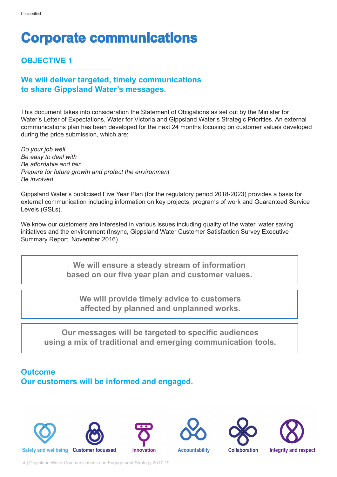# **Corporate communications**

#### **OBJECTIVE 1**

### **We will deliver targeted, timely communications to share Gippsland Water's messages.**

This document takes into consideration the Statement of Obligations as set out by the Minister for Water's Letter of Expectations, Water for Victoria and Gippsland Water's Strategic Priorities. An external communications plan has been developed for the next 24 months focusing on customer values developed during the price submission, which are:

*Do your job well Be easy to deal with Be affordable and fair Prepare for future growth and protect the environment Be involved* 

Gippsland Water's publicised Five Year Plan (for the regulatory period 2018-2023) provides a basis for external communication including information on key projects, programs of work and Guaranteed Service Levels (GSLs).

We know our customers are interested in various issues including quality of the water, water saving initiatives and the environment (Insync, Gippsland Water Customer Satisfaction Survey Executive Summary Report, November 2016).

> **We will ensure a steady stream of information based on our five year plan and customer values.**

**We will provide timely advice to customers affected by planned and unplanned works.** 

**Our messages will be targeted to specific audiences using a mix of traditional and emerging communication tools.** 

#### **Outcome Our customers will be informed and engaged.**

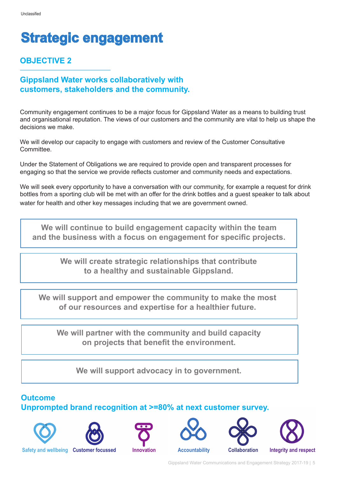# **Strategic engagement**

### **OBJECTIVE 2**

#### **Gippsland Water works collaboratively with customers, stakeholders and the community.**

Community engagement continues to be a major focus for Gippsland Water as a means to building trust and organisational reputation. The views of our customers and the community are vital to help us shape the decisions we make.

We will develop our capacity to engage with customers and review of the Customer Consultative **Committee.** 

Under the Statement of Obligations we are required to provide open and transparent processes for engaging so that the service we provide reflects customer and community needs and expectations.

We will seek every opportunity to have a conversation with our community, for example a request for drink bottles from a sporting club will be met with an offer for the drink bottles and a guest speaker to talk about water for health and other key messages including that we are government owned.

**We will continue to build engagement capacity within the team and the business with a focus on engagement for specific projects.** 

> **We will create strategic relationships that contribute to a healthy and sustainable Gippsland.**

**We will support and empower the community to make the most of our resources and expertise for a healthier future.** 

**We will partner with the community and build capacity on projects that benefit the environment.** 

**We will support advocacy in to government.** 

### **Outcome Unprompted brand recognition at >=80% at next customer survey.**













**Safety and wellbeing Customer focussed Innovation Accountability Collaboration Integrity and respect**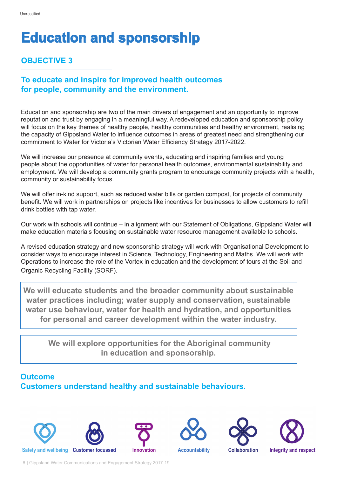# **Education and sponsorship**

#### **OBJECTIVE 3**

#### **To educate and inspire for improved health outcomes for people, community and the environment.**

Education and sponsorship are two of the main drivers of engagement and an opportunity to improve reputation and trust by engaging in a meaningful way. A redeveloped education and sponsorship policy will focus on the key themes of healthy people, healthy communities and healthy environment, realising the capacity of Gippsland Water to influence outcomes in areas of greatest need and strengthening our commitment to Water for Victoria's Victorian Water Efficiency Strategy 2017-2022.

We will increase our presence at community events, educating and inspiring families and young people about the opportunities of water for personal health outcomes, environmental sustainability and employment. We will develop a community grants program to encourage community projects with a health, community or sustainability focus.

We will offer in-kind support, such as reduced water bills or garden compost, for projects of community benefit. We will work in partnerships on projects like incentives for businesses to allow customers to refill drink bottles with tap water.

Our work with schools will continue – in alignment with our Statement of Obligations, Gippsland Water will make education materials focusing on sustainable water resource management available to schools.

A revised education strategy and new sponsorship strategy will work with Organisational Development to consider ways to encourage interest in Science, Technology, Engineering and Maths. We will work with Operations to increase the role of the Vortex in education and the development of tours at the Soil and Organic Recycling Facility (SORF).

**We will educate students and the broader community about sustainable water practices including; water supply and conservation, sustainable water use behaviour, water for health and hydration, and opportunities for personal and career development within the water industry.** 

 **We will explore opportunities for the Aboriginal community in education and sponsorship.**

#### **Outcome Customers understand healthy and sustainable behaviours.**











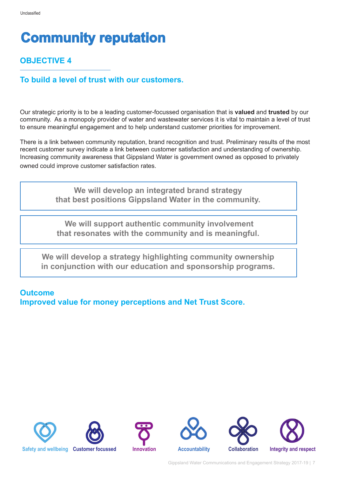# **Community reputation**

### **OBJECTIVE 4**

#### **To build a level of trust with our customers.**

Our strategic priority is to be a leading customer-focussed organisation that is **valued** and **trusted** by our community. As a monopoly provider of water and wastewater services it is vital to maintain a level of trust to ensure meaningful engagement and to help understand customer priorities for improvement.

There is a link between community reputation, brand recognition and trust. Preliminary results of the most recent customer survey indicate a link between customer satisfaction and understanding of ownership. Increasing community awareness that Gippsland Water is government owned as opposed to privately owned could improve customer satisfaction rates.

> **We will develop an integrated brand strategy that best positions Gippsland Water in the community.**

> **We will support authentic community involvement that resonates with the community and is meaningful.**

**We will develop a strategy highlighting community ownership in conjunction with our education and sponsorship programs.** 

#### **Outcome Improved value for money perceptions and Net Trust Score.**





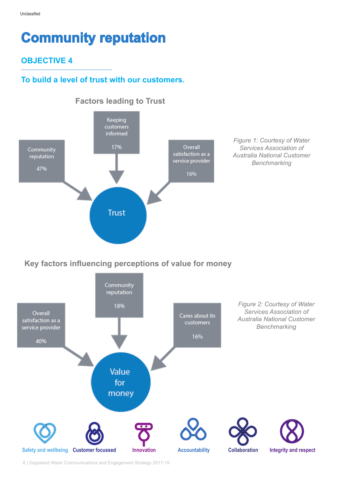## **Community reputation**

#### **OBJECTIVE 4**

### **To build a level of trust with our customers.**



*Figure 1: Courtesy of Water Services Association of Australia National Customer Benchmarking* 

#### **Key factors influencing perceptions of value for money**

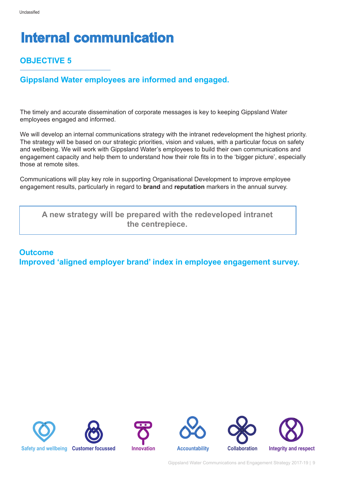# **Internal communication**

### **OBJECTIVE 5**

### **Gippsland Water employees are informed and engaged.**

The timely and accurate dissemination of corporate messages is key to keeping Gippsland Water employees engaged and informed.

We will develop an internal communications strategy with the intranet redevelopment the highest priority. The strategy will be based on our strategic priorities, vision and values, with a particular focus on safety and wellbeing. We will work with Gippsland Water's employees to build their own communications and engagement capacity and help them to understand how their role fits in to the 'bigger picture', especially those at remote sites.

Communications will play key role in supporting Organisational Development to improve employee engagement results, particularly in regard to **brand** and **reputation** markers in the annual survey.

**A new strategy will be prepared with the redeveloped intranet the centrepiece.** 

#### **Outcome Improved 'aligned employer brand' index in employee engagement survey.**





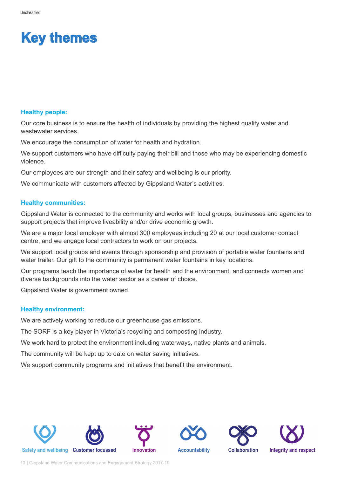### **Key themes**

#### **Healthy people:**

Our core business is to ensure the health of individuals by providing the highest quality water and wastewater services.

We encourage the consumption of water for health and hydration.

We support customers who have difficulty paying their bill and those who may be experiencing domestic violence.

Our employees are our strength and their safety and wellbeing is our priority.

We communicate with customers affected by Gippsland Water's activities.

#### **Healthy communities:**

Gippsland Water is connected to the community and works with local groups, businesses and agencies to support projects that improve liveability and/or drive economic growth.

We are a major local employer with almost 300 employees including 20 at our local customer contact centre, and we engage local contractors to work on our projects.

We support local groups and events through sponsorship and provision of portable water fountains and water trailer. Our gift to the community is permanent water fountains in key locations.

Our programs teach the importance of water for health and the environment, and connects women and diverse backgrounds into the water sector as a career of choice.

Gippsland Water is government owned.

#### **Healthy environment:**

We are actively working to reduce our greenhouse gas emissions.

The SORF is a key player in Victoria's recycling and composting industry.

We work hard to protect the environment including waterways, native plants and animals.

The community will be kept up to date on water saving initiatives.

We support community programs and initiatives that benefit the environment.









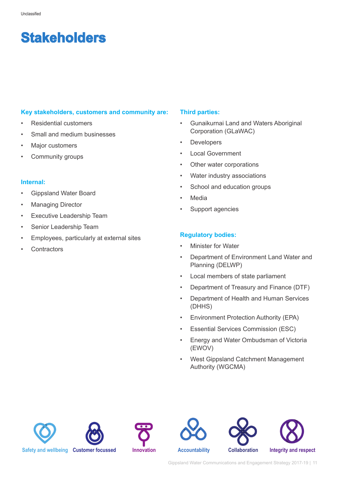## **Stakeholders**

#### **Key stakeholders, customers and community are:**

- Residential customers
- Small and medium businesses
- Major customers
- Community groups

#### **Internal:**

- Gippsland Water Board
- **Managing Director**
- **Executive Leadership Team**
- Senior Leadership Team
- Employees, particularly at external sites
- **Contractors**

#### **Third parties:**

- Gunaikurnai Land and Waters Aboriginal Corporation (GLaWAC)
- **Developers**
- Local Government
- Other water corporations
- Water industry associations
- School and education groups
- **Media**
- Support agencies

#### **Regulatory bodies:**

- Minister for Water
- Department of Environment Land Water and Planning (DELWP)
- Local members of state parliament
- Department of Treasury and Finance (DTF)
- Department of Health and Human Services (DHHS)
- Environment Protection Authority (EPA)
- Essential Services Commission (ESC)
- Energy and Water Ombudsman of Victoria (EWOV)
- West Gippsland Catchment Management Authority (WGCMA)







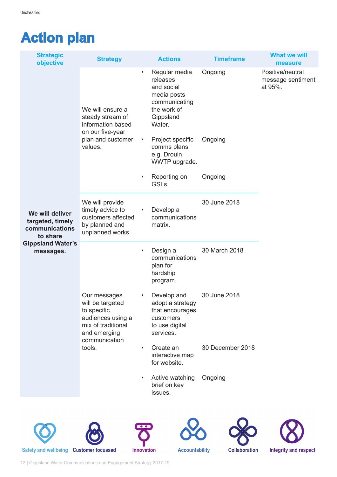# **Action plan**

| <b>Strategic</b><br>objective                                                                              | <b>Strategy</b>                                                                                                                       | <b>Actions</b>                                                                                                             | <b>Timeframe</b> | <b>What we will</b><br>measure                   |
|------------------------------------------------------------------------------------------------------------|---------------------------------------------------------------------------------------------------------------------------------------|----------------------------------------------------------------------------------------------------------------------------|------------------|--------------------------------------------------|
|                                                                                                            | We will ensure a<br>steady stream of<br>information based<br>on our five-year<br>plan and customer<br>values.                         | Regular media<br>$\bullet$<br>releases<br>and social<br>media posts<br>communicating<br>the work of<br>Gippsland<br>Water. | Ongoing          | Positive/neutral<br>message sentiment<br>at 95%. |
|                                                                                                            |                                                                                                                                       | Project specific<br>$\bullet$<br>comms plans<br>e.g. Drouin<br>WWTP upgrade.                                               | Ongoing          |                                                  |
|                                                                                                            |                                                                                                                                       | Reporting on<br>$\bullet$<br>GSLs.                                                                                         | Ongoing          |                                                  |
| We will deliver<br>targeted, timely<br>communications<br>to share<br><b>Gippsland Water's</b><br>messages. | We will provide<br>timely advice to<br>customers affected<br>by planned and<br>unplanned works.                                       | Develop a<br>$\bullet$<br>communications<br>matrix.                                                                        | 30 June 2018     |                                                  |
|                                                                                                            |                                                                                                                                       | Design a<br>$\bullet$<br>communications<br>plan for<br>hardship<br>program.                                                | 30 March 2018    |                                                  |
|                                                                                                            | Our messages<br>will be targeted<br>to specific<br>audiences using a<br>mix of traditional<br>and emerging<br>communication<br>tools. | Develop and<br>$\bullet$<br>adopt a strategy<br>that encourages<br>customers<br>to use digital<br>services.                | 30 June 2018     |                                                  |
|                                                                                                            |                                                                                                                                       | Create an<br>$\bullet$<br>interactive map<br>for website.                                                                  | 30 December 2018 |                                                  |
|                                                                                                            |                                                                                                                                       | Active watching<br>$\bullet$<br>brief on key<br>issues.                                                                    | Ongoing          |                                                  |
|                                                                                                            |                                                                                                                                       |                                                                                                                            |                  |                                                  |











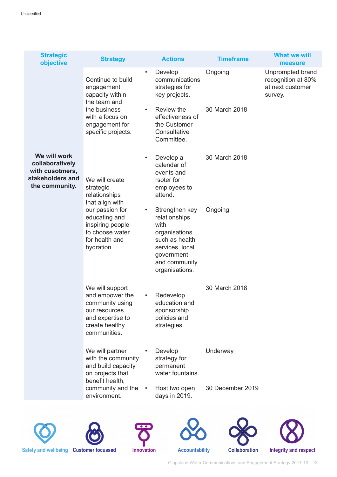| <b>Strategic</b><br>objective                                                            | <b>Strategy</b>                                                                                                                               |                        | <b>Actions</b>                                                                                                                                  | <b>Timeframe</b> | <b>What we will</b><br>measure                                        |
|------------------------------------------------------------------------------------------|-----------------------------------------------------------------------------------------------------------------------------------------------|------------------------|-------------------------------------------------------------------------------------------------------------------------------------------------|------------------|-----------------------------------------------------------------------|
|                                                                                          | Continue to build<br>engagement<br>capacity within<br>the team and<br>the business<br>with a focus on<br>engagement for<br>specific projects. | $\bullet$<br>$\bullet$ | Develop<br>communications<br>strategies for<br>key projects.                                                                                    | Ongoing          | Unprompted brand<br>recognition at 80%<br>at next customer<br>survey. |
|                                                                                          |                                                                                                                                               |                        | Review the<br>effectiveness of<br>the Customer<br>Consultative<br>Committee.                                                                    | 30 March 2018    |                                                                       |
| We will work<br>collaboratively<br>with cusotmers,<br>stakeholders and<br>the community. | We will create<br>strategic<br>relationships<br>that align with                                                                               | $\bullet$              | Develop a<br>calendar of<br>events and<br>rsoter for<br>employees to<br>attend.                                                                 | 30 March 2018    |                                                                       |
|                                                                                          | our passion for<br>educating and<br>inspiring people<br>to choose water<br>for health and<br>hydration.                                       | $\bullet$              | Strengthen key<br>relationships<br>with<br>organisations<br>such as health<br>services, local<br>government,<br>and community<br>organisations. | Ongoing          |                                                                       |
|                                                                                          | We will support<br>and empower the<br>community using<br>our resources<br>and expertise to<br>create healthy<br>communities.                  |                        | Redevelop<br>education and<br>sponsorship<br>policies and<br>strategies.                                                                        | 30 March 2018    |                                                                       |
|                                                                                          | We will partner<br>with the community<br>and build capacity<br>on projects that<br>benefit health,                                            |                        | Develop<br>strategy for<br>permanent<br>water fountains.                                                                                        | Underway         |                                                                       |
|                                                                                          | community and the<br>environment.                                                                                                             | $\bullet$              | Host two open<br>days in 2019.                                                                                                                  | 30 December 2019 |                                                                       |
|                                                                                          |                                                                                                                                               |                        |                                                                                                                                                 |                  |                                                                       |









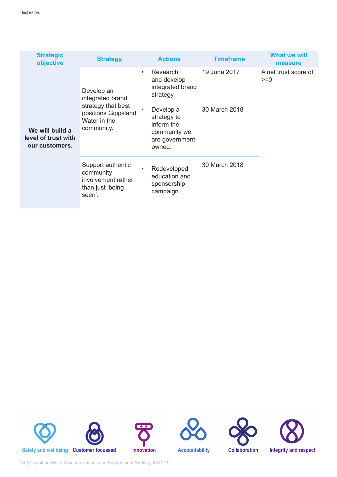| <b>Strategic</b><br>objective                            | <b>Strategy</b>                                                                                           |           | <b>Actions</b>                                                                      | <b>Timeframe</b> | <b>What we will</b><br>measure |
|----------------------------------------------------------|-----------------------------------------------------------------------------------------------------------|-----------|-------------------------------------------------------------------------------------|------------------|--------------------------------|
| We will build a<br>level of trust with<br>our customers. | Develop an<br>integrated brand<br>strategy that best<br>positions Gippsland<br>Water in the<br>community. | $\bullet$ | Research<br>and develop<br>integrated brand<br>strategy.                            | 19 June 2017     | A net trust score of<br>$>=0$  |
|                                                          |                                                                                                           |           | Develop a<br>strategy to<br>inform the<br>community we<br>are government-<br>owned. | 30 March 2018    |                                |
|                                                          | Support authentic<br>community<br>involvement rather<br>than just 'being<br>seen'.                        |           | Redeveloped<br>education and<br>sponsorship<br>campaign.                            | 30 March 2018    |                                |







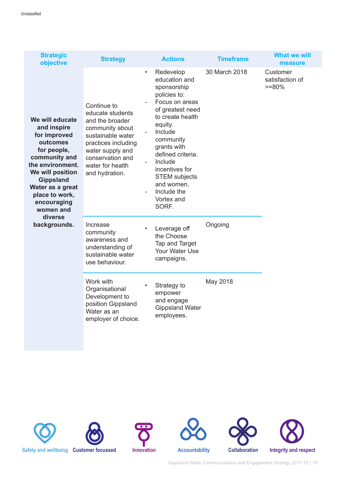| <b>Strategic</b><br>objective                                                                                                                                                                                                                       | <b>Strategy</b>                                                                                                                                                                                 | <b>Actions</b>                                                                                                                                                                                                                                                                                                   | <b>Timeframe</b> | <b>What we will</b><br>measure          |
|-----------------------------------------------------------------------------------------------------------------------------------------------------------------------------------------------------------------------------------------------------|-------------------------------------------------------------------------------------------------------------------------------------------------------------------------------------------------|------------------------------------------------------------------------------------------------------------------------------------------------------------------------------------------------------------------------------------------------------------------------------------------------------------------|------------------|-----------------------------------------|
| We will educate<br>and inspire<br>for improved<br>outcomes<br>for people,<br>community and<br>the environment.<br>We will position<br><b>Gippsland</b><br>Water as a great<br>place to work,<br>encouraging<br>women and<br>diverse<br>backgrounds. | Continue to<br>educate students<br>and the broader<br>community about<br>sustainable water<br>practices including<br>water supply and<br>conservation and<br>water for health<br>and hydration. | Redevelop<br>$\bullet$<br>education and<br>sponsorship<br>policies to:<br>Focus on areas<br>of greatest need<br>to create health<br>equity.<br>Include<br>community<br>grants with<br>defined criteria.<br>Include<br>incentives for<br><b>STEM</b> subjects<br>and women.<br>Include the<br>Vortex and<br>SORF. | 30 March 2018    | Customer<br>satisfaction of<br>$>= 80%$ |
|                                                                                                                                                                                                                                                     | Increase<br>community<br>awareness and<br>understanding of<br>sustainable water<br>use behaviour.                                                                                               | Leverage off<br>the Choose<br>Tap and Target<br><b>Your Water Use</b><br>campaigns.                                                                                                                                                                                                                              | Ongoing          |                                         |
|                                                                                                                                                                                                                                                     | Work with<br>Organisational<br>Development to<br>position Gippsland<br>Water as an<br>employer of choice.                                                                                       | Strategy to<br>empower<br>and engage<br><b>Gippsland Water</b><br>employees.                                                                                                                                                                                                                                     | May 2018         |                                         |